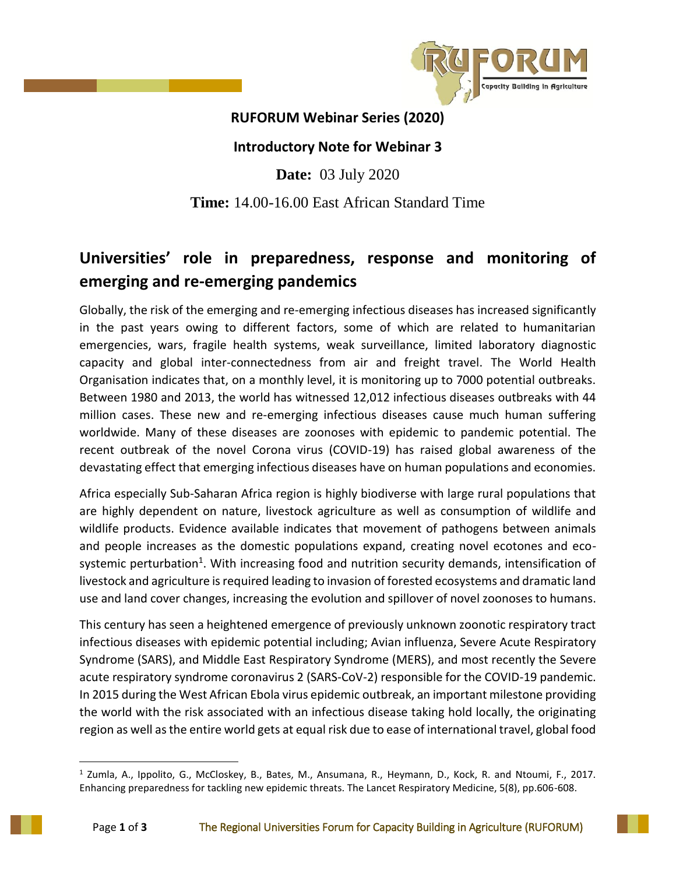

## **RUFORUM Webinar Series (2020)**

## **Introductory Note for Webinar 3**

**Date:** 03 July 2020

## **Time:** 14.00-16.00 East African Standard Time

# **Universities' role in preparedness, response and monitoring of emerging and re-emerging pandemics**

Globally, the risk of the emerging and re-emerging infectious diseases has increased significantly in the past years owing to different factors, some of which are related to humanitarian emergencies, wars, fragile health systems, weak surveillance, limited laboratory diagnostic capacity and global inter-connectedness from air and freight travel. The World Health Organisation indicates that, on a monthly level, it is monitoring up to 7000 potential outbreaks. Between 1980 and 2013, the world has witnessed 12,012 infectious diseases outbreaks with 44 million cases. These new and re-emerging infectious diseases cause much human suffering worldwide. Many of these diseases are zoonoses with epidemic to pandemic potential. The recent outbreak of the novel Corona virus (COVID-19) has raised global awareness of the devastating effect that emerging infectious diseases have on human populations and economies.

Africa especially Sub-Saharan Africa region is highly biodiverse with large rural populations that are highly dependent on nature, livestock agriculture as well as consumption of wildlife and wildlife products. Evidence available indicates that movement of pathogens between animals and people increases as the domestic populations expand, creating novel ecotones and ecosystemic perturbation<sup>1</sup>. With increasing food and nutrition security demands, intensification of livestock and agriculture is required leading to invasion of forested ecosystems and dramatic land use and land cover changes, increasing the evolution and spillover of novel zoonoses to humans.

This century has seen a heightened emergence of previously unknown zoonotic respiratory tract infectious diseases with epidemic potential including; Avian influenza, Severe Acute Respiratory Syndrome (SARS), and Middle East Respiratory Syndrome (MERS), and most recently the Severe acute respiratory syndrome coronavirus 2 (SARS-CoV-2) responsible for the COVID-19 pandemic. In 2015 during the West African Ebola virus epidemic outbreak, an important milestone providing the world with the risk associated with an infectious disease taking hold locally, the originating region as well as the entire world gets at equal risk due to ease of international travel, global food

l

<sup>1</sup> Zumla, A., Ippolito, G., McCloskey, B., Bates, M., Ansumana, R., Heymann, D., Kock, R. and Ntoumi, F., 2017. Enhancing preparedness for tackling new epidemic threats. The Lancet Respiratory Medicine, 5(8), pp.606-608.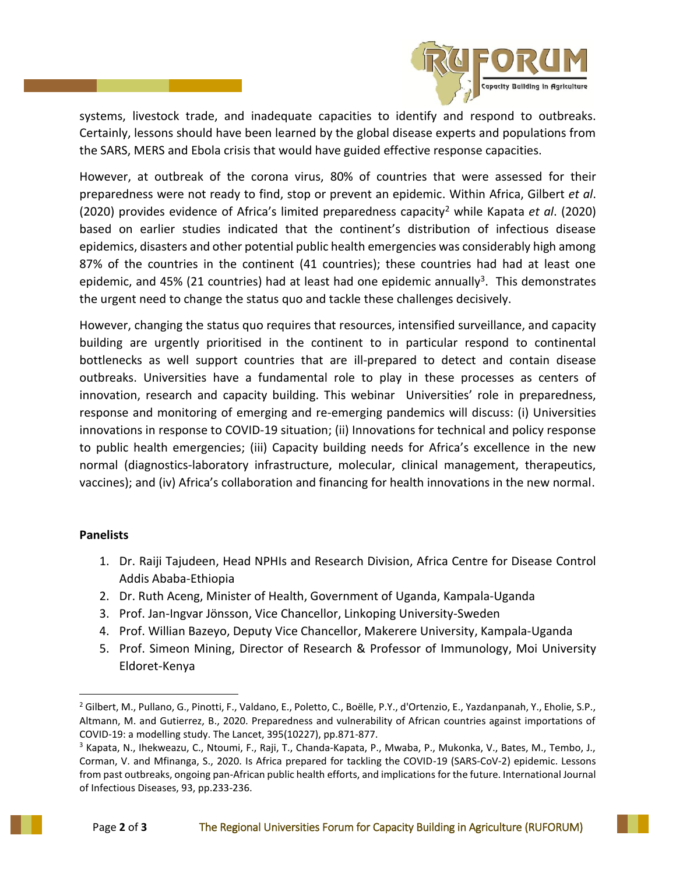

systems, livestock trade, and inadequate capacities to identify and respond to outbreaks. Certainly, lessons should have been learned by the global disease experts and populations from the SARS, MERS and Ebola crisis that would have guided effective response capacities.

However, at outbreak of the corona virus, 80% of countries that were assessed for their preparedness were not ready to find, stop or prevent an epidemic. Within Africa, Gilbert *et al*. (2020) provides evidence of Africa's limited preparedness capacity<sup>2</sup> while Kapata *et al*. (2020) based on earlier studies indicated that the continent's distribution of infectious disease epidemics, disasters and other potential public health emergencies was considerably high among 87% of the countries in the continent (41 countries); these countries had had at least one epidemic, and 45% (21 countries) had at least had one epidemic annually<sup>3</sup>. This demonstrates the urgent need to change the status quo and tackle these challenges decisively.

However, changing the status quo requires that resources, intensified surveillance, and capacity building are urgently prioritised in the continent to in particular respond to continental bottlenecks as well support countries that are ill-prepared to detect and contain disease outbreaks. Universities have a fundamental role to play in these processes as centers of innovation, research and capacity building. This webinar Universities' role in preparedness, response and monitoring of emerging and re-emerging pandemics will discuss: (i) Universities innovations in response to COVID-19 situation; (ii) Innovations for technical and policy response to public health emergencies; (iii) Capacity building needs for Africa's excellence in the new normal (diagnostics-laboratory infrastructure, molecular, clinical management, therapeutics, vaccines); and (iv) Africa's collaboration and financing for health innovations in the new normal.

#### **Panelists**

 $\overline{\phantom{a}}$ 

- 1. Dr. Raiji Tajudeen, Head NPHIs and Research Division, Africa Centre for Disease Control Addis Ababa-Ethiopia
- 2. Dr. Ruth Aceng, Minister of Health, Government of Uganda, Kampala-Uganda
- 3. Prof. Jan-Ingvar Jönsson, Vice Chancellor, Linkoping University-Sweden
- 4. Prof. Willian Bazeyo, Deputy Vice Chancellor, Makerere University, Kampala-Uganda
- 5. Prof. Simeon Mining, Director of Research & Professor of Immunology, Moi University Eldoret-Kenya

<sup>2</sup> Gilbert, M., Pullano, G., Pinotti, F., Valdano, E., Poletto, C., Boëlle, P.Y., d'Ortenzio, E., Yazdanpanah, Y., Eholie, S.P., Altmann, M. and Gutierrez, B., 2020. Preparedness and vulnerability of African countries against importations of COVID-19: a modelling study. The Lancet, 395(10227), pp.871-877.

<sup>3</sup> Kapata, N., Ihekweazu, C., Ntoumi, F., Raji, T., Chanda-Kapata, P., Mwaba, P., Mukonka, V., Bates, M., Tembo, J., Corman, V. and Mfinanga, S., 2020. Is Africa prepared for tackling the COVID-19 (SARS-CoV-2) epidemic. Lessons from past outbreaks, ongoing pan-African public health efforts, and implications for the future. International Journal of Infectious Diseases, 93, pp.233-236.